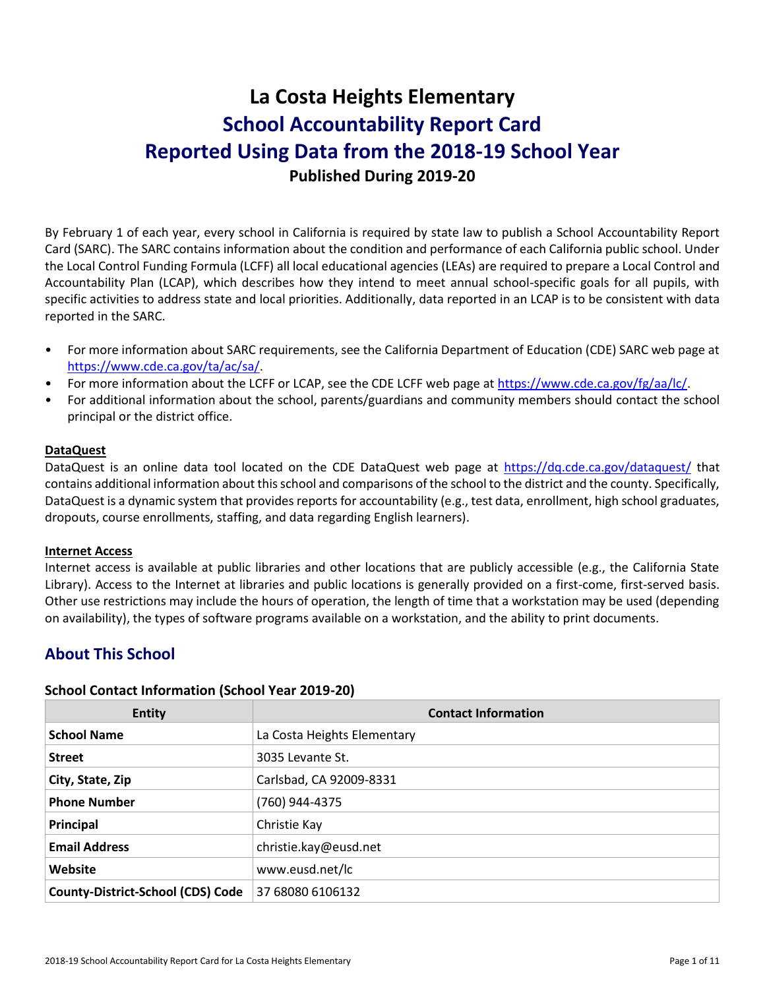# **La Costa Heights Elementary School Accountability Report Card Reported Using Data from the 2018-19 School Year Published During 2019-20**

By February 1 of each year, every school in California is required by state law to publish a School Accountability Report Card (SARC). The SARC contains information about the condition and performance of each California public school. Under the Local Control Funding Formula (LCFF) all local educational agencies (LEAs) are required to prepare a Local Control and Accountability Plan (LCAP), which describes how they intend to meet annual school-specific goals for all pupils, with specific activities to address state and local priorities. Additionally, data reported in an LCAP is to be consistent with data reported in the SARC.

- For more information about SARC requirements, see the California Department of Education (CDE) SARC web page at [https://www.cde.ca.gov/ta/ac/sa/.](https://www.cde.ca.gov/ta/ac/sa/)
- For more information about the LCFF or LCAP, see the CDE LCFF web page at [https://www.cde.ca.gov/fg/aa/lc/.](https://www.cde.ca.gov/fg/aa/lc/)
- For additional information about the school, parents/guardians and community members should contact the school principal or the district office.

### **DataQuest**

DataQuest is an online data tool located on the CDE DataQuest web page at<https://dq.cde.ca.gov/dataquest/> that contains additional information about this school and comparisons of the school to the district and the county. Specifically, DataQuest is a dynamic system that provides reports for accountability (e.g., test data, enrollment, high school graduates, dropouts, course enrollments, staffing, and data regarding English learners).

#### **Internet Access**

Internet access is available at public libraries and other locations that are publicly accessible (e.g., the California State Library). Access to the Internet at libraries and public locations is generally provided on a first-come, first-served basis. Other use restrictions may include the hours of operation, the length of time that a workstation may be used (depending on availability), the types of software programs available on a workstation, and the ability to print documents.

# **About This School**

### **School Contact Information (School Year 2019-20)**

| <b>Entity</b>                            | <b>Contact Information</b>  |
|------------------------------------------|-----------------------------|
| <b>School Name</b>                       | La Costa Heights Elementary |
| <b>Street</b>                            | 3035 Levante St.            |
| City, State, Zip                         | Carlsbad, CA 92009-8331     |
| <b>Phone Number</b>                      | (760) 944-4375              |
| Principal                                | Christie Kay                |
| <b>Email Address</b>                     | christie.kay@eusd.net       |
| Website                                  | www.eusd.net/lc             |
| <b>County-District-School (CDS) Code</b> | 37 68080 6106132            |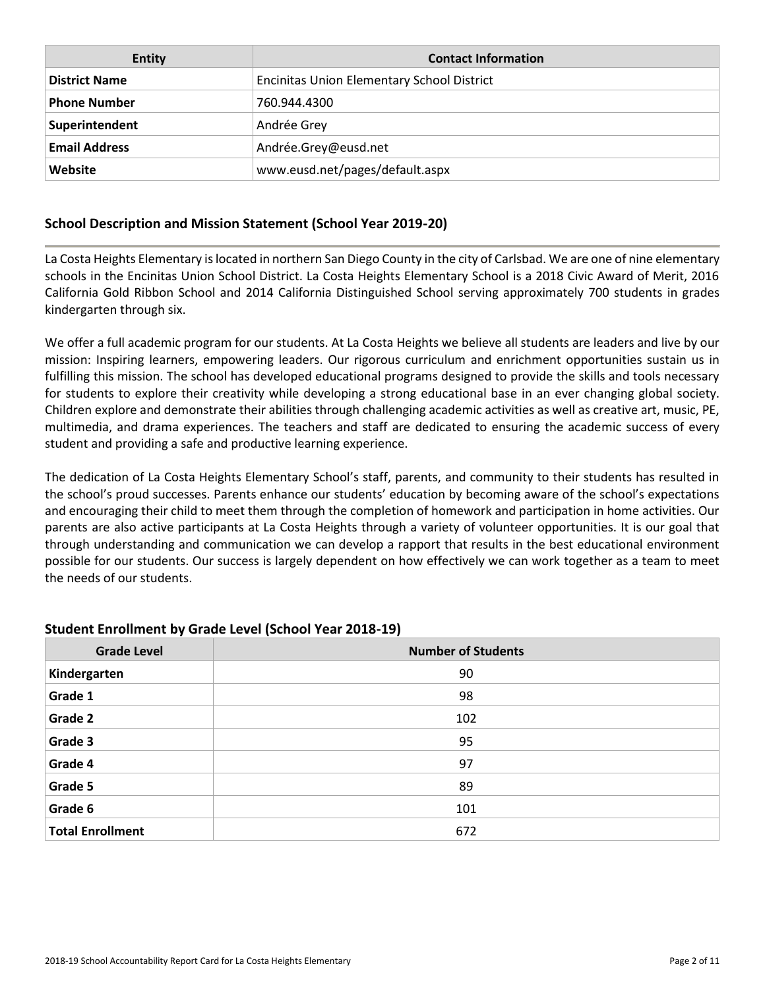| <b>Entity</b>        | <b>Contact Information</b>                        |
|----------------------|---------------------------------------------------|
| <b>District Name</b> | <b>Encinitas Union Elementary School District</b> |
| <b>Phone Number</b>  | 760.944.4300                                      |
| Superintendent       | Andrée Grey                                       |
| <b>Email Address</b> | Andrée.Grey@eusd.net                              |
| Website              | www.eusd.net/pages/default.aspx                   |

### **School Description and Mission Statement (School Year 2019-20)**

La Costa Heights Elementary is located in northern San Diego County in the city of Carlsbad. We are one of nine elementary schools in the Encinitas Union School District. La Costa Heights Elementary School is a 2018 Civic Award of Merit, 2016 California Gold Ribbon School and 2014 California Distinguished School serving approximately 700 students in grades kindergarten through six.

We offer a full academic program for our students. At La Costa Heights we believe all students are leaders and live by our mission: Inspiring learners, empowering leaders. Our rigorous curriculum and enrichment opportunities sustain us in fulfilling this mission. The school has developed educational programs designed to provide the skills and tools necessary for students to explore their creativity while developing a strong educational base in an ever changing global society. Children explore and demonstrate their abilities through challenging academic activities as well as creative art, music, PE, multimedia, and drama experiences. The teachers and staff are dedicated to ensuring the academic success of every student and providing a safe and productive learning experience.

The dedication of La Costa Heights Elementary School's staff, parents, and community to their students has resulted in the school's proud successes. Parents enhance our students' education by becoming aware of the school's expectations and encouraging their child to meet them through the completion of homework and participation in home activities. Our parents are also active participants at La Costa Heights through a variety of volunteer opportunities. It is our goal that through understanding and communication we can develop a rapport that results in the best educational environment possible for our students. Our success is largely dependent on how effectively we can work together as a team to meet the needs of our students.

### **Student Enrollment by Grade Level (School Year 2018-19)**

| <b>Grade Level</b>      | <b>Number of Students</b> |
|-------------------------|---------------------------|
| Kindergarten            | 90                        |
| Grade 1                 | 98                        |
| <b>Grade 2</b>          | 102                       |
| Grade 3                 | 95                        |
| Grade 4                 | 97                        |
| Grade 5                 | 89                        |
| Grade 6                 | 101                       |
| <b>Total Enrollment</b> | 672                       |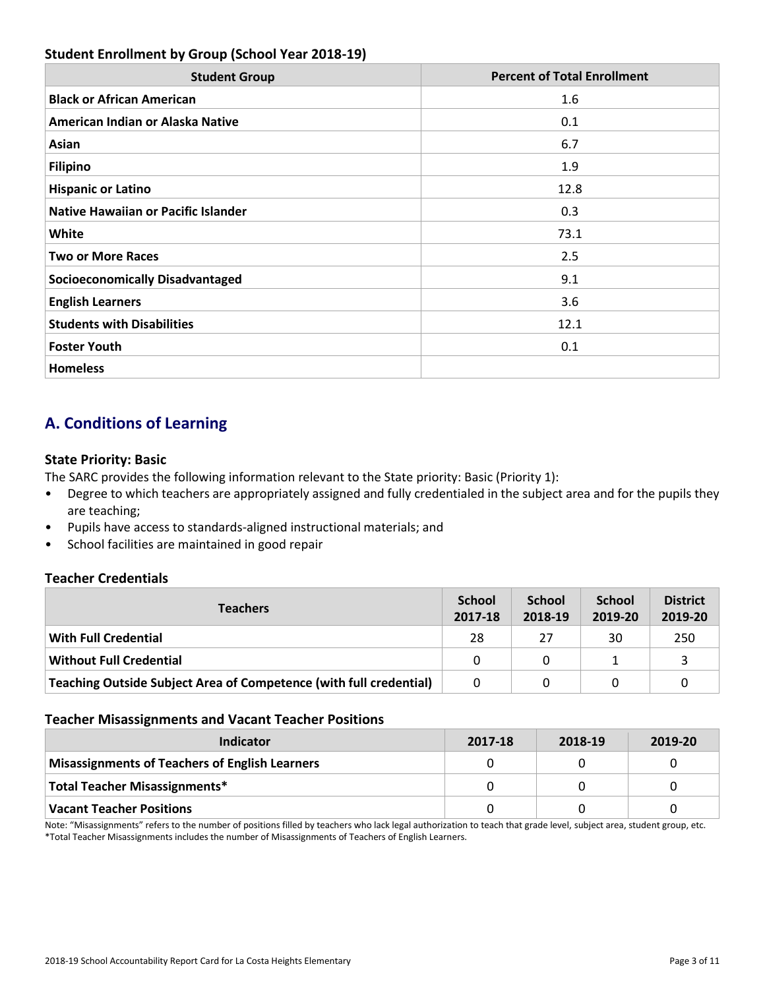### **Student Enrollment by Group (School Year 2018-19)**

| <b>Student Group</b>                       | <b>Percent of Total Enrollment</b> |
|--------------------------------------------|------------------------------------|
| <b>Black or African American</b>           | 1.6                                |
| American Indian or Alaska Native           | 0.1                                |
| Asian                                      | 6.7                                |
| <b>Filipino</b>                            | 1.9                                |
| <b>Hispanic or Latino</b>                  | 12.8                               |
| <b>Native Hawaiian or Pacific Islander</b> | 0.3                                |
| White                                      | 73.1                               |
| <b>Two or More Races</b>                   | 2.5                                |
| <b>Socioeconomically Disadvantaged</b>     | 9.1                                |
| <b>English Learners</b>                    | 3.6                                |
| <b>Students with Disabilities</b>          | 12.1                               |
| <b>Foster Youth</b>                        | 0.1                                |
| <b>Homeless</b>                            |                                    |

# **A. Conditions of Learning**

### **State Priority: Basic**

The SARC provides the following information relevant to the State priority: Basic (Priority 1):

- Degree to which teachers are appropriately assigned and fully credentialed in the subject area and for the pupils they are teaching;
- Pupils have access to standards-aligned instructional materials; and
- School facilities are maintained in good repair

### **Teacher Credentials**

| <b>Teachers</b>                                                    | <b>School</b><br>2017-18 | <b>School</b><br>2018-19 | <b>School</b><br>2019-20 | <b>District</b><br>2019-20 |
|--------------------------------------------------------------------|--------------------------|--------------------------|--------------------------|----------------------------|
| With Full Credential                                               | 28                       | 27                       | 30                       | 250                        |
| <b>Without Full Credential</b>                                     | 0                        | 0                        |                          |                            |
| Teaching Outside Subject Area of Competence (with full credential) | 0                        |                          |                          |                            |

### **Teacher Misassignments and Vacant Teacher Positions**

| Indicator                                             | 2017-18 | 2018-19 | 2019-20 |
|-------------------------------------------------------|---------|---------|---------|
| <b>Misassignments of Teachers of English Learners</b> |         |         |         |
| <b>Total Teacher Misassignments*</b>                  |         |         |         |
| <b>Vacant Teacher Positions</b>                       |         |         |         |

Note: "Misassignments" refers to the number of positions filled by teachers who lack legal authorization to teach that grade level, subject area, student group, etc. \*Total Teacher Misassignments includes the number of Misassignments of Teachers of English Learners.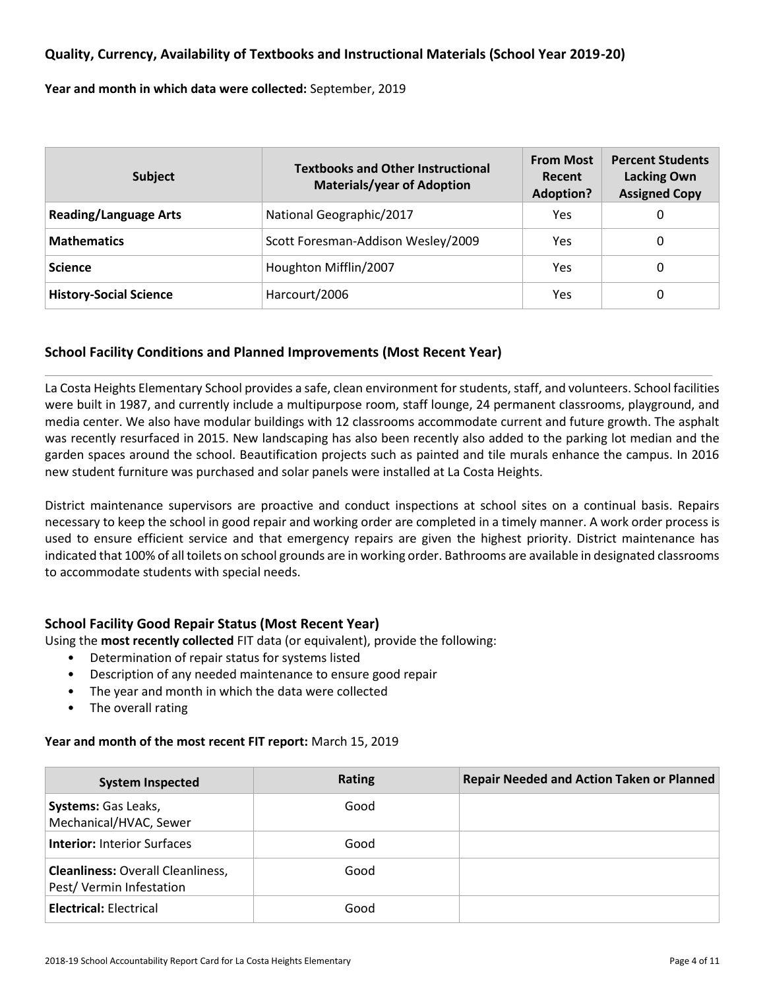### **Quality, Currency, Availability of Textbooks and Instructional Materials (School Year 2019-20)**

**Year and month in which data were collected:** September, 2019

| <b>Subject</b>                | <b>Textbooks and Other Instructional</b><br><b>Materials/year of Adoption</b> | <b>From Most</b><br>Recent<br><b>Adoption?</b> | <b>Percent Students</b><br><b>Lacking Own</b><br><b>Assigned Copy</b> |  |
|-------------------------------|-------------------------------------------------------------------------------|------------------------------------------------|-----------------------------------------------------------------------|--|
| <b>Reading/Language Arts</b>  | National Geographic/2017                                                      | Yes                                            | 0                                                                     |  |
| <b>Mathematics</b>            | Scott Foresman-Addison Wesley/2009                                            | Yes                                            | 0                                                                     |  |
| <b>Science</b>                | Houghton Mifflin/2007                                                         | Yes                                            | 0                                                                     |  |
| <b>History-Social Science</b> | Harcourt/2006                                                                 | Yes                                            | 0                                                                     |  |

### **School Facility Conditions and Planned Improvements (Most Recent Year)**

La Costa Heights Elementary School provides a safe, clean environment for students, staff, and volunteers. School facilities were built in 1987, and currently include a multipurpose room, staff lounge, 24 permanent classrooms, playground, and media center. We also have modular buildings with 12 classrooms accommodate current and future growth. The asphalt was recently resurfaced in 2015. New landscaping has also been recently also added to the parking lot median and the garden spaces around the school. Beautification projects such as painted and tile murals enhance the campus. In 2016 new student furniture was purchased and solar panels were installed at La Costa Heights.

District maintenance supervisors are proactive and conduct inspections at school sites on a continual basis. Repairs necessary to keep the school in good repair and working order are completed in a timely manner. A work order process is used to ensure efficient service and that emergency repairs are given the highest priority. District maintenance has indicated that 100% of all toilets on school grounds are in working order. Bathrooms are available in designated classrooms to accommodate students with special needs.

### **School Facility Good Repair Status (Most Recent Year)**

Using the **most recently collected** FIT data (or equivalent), provide the following:

- Determination of repair status for systems listed
- Description of any needed maintenance to ensure good repair
- The year and month in which the data were collected
- The overall rating

### **Year and month of the most recent FIT report:** March 15, 2019

| <b>System Inspected</b>                                             | <b>Rating</b> | <b>Repair Needed and Action Taken or Planned</b> |
|---------------------------------------------------------------------|---------------|--------------------------------------------------|
| Systems: Gas Leaks,<br>Mechanical/HVAC, Sewer                       | Good          |                                                  |
| <b>Interior: Interior Surfaces</b>                                  | Good          |                                                  |
| <b>Cleanliness: Overall Cleanliness,</b><br>Pest/Vermin Infestation | Good          |                                                  |
| <b>Electrical: Electrical</b>                                       | Good          |                                                  |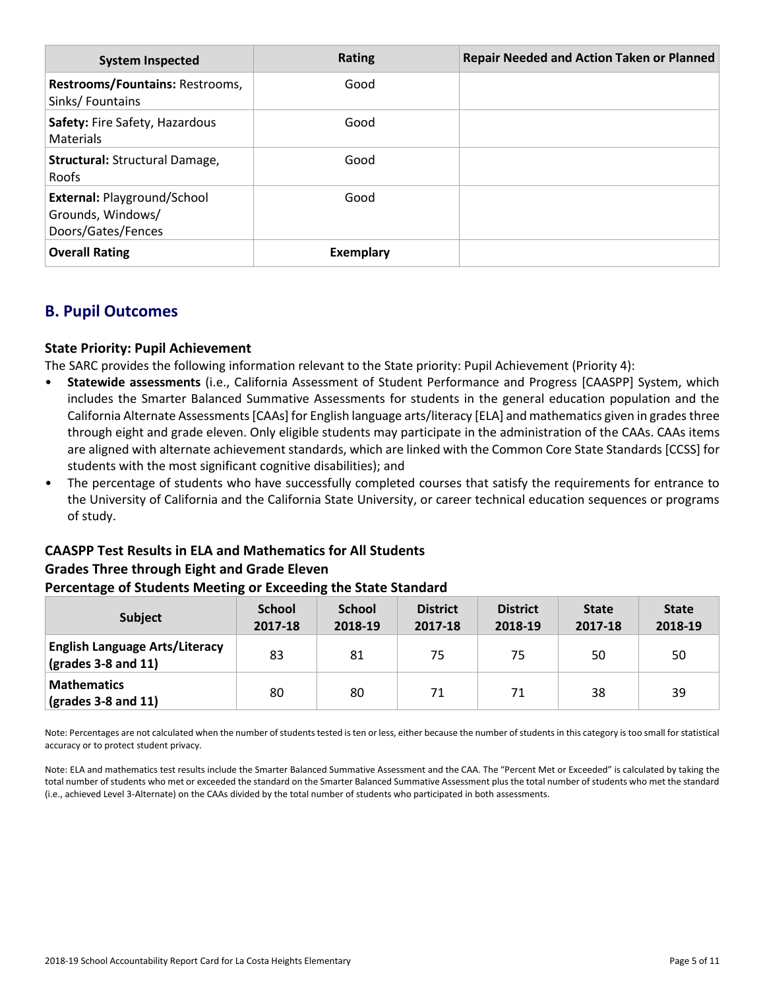| <b>System Inspected</b>                                                       | Rating    | <b>Repair Needed and Action Taken or Planned</b> |
|-------------------------------------------------------------------------------|-----------|--------------------------------------------------|
| Restrooms/Fountains: Restrooms,<br>Sinks/Fountains                            | Good      |                                                  |
| Safety: Fire Safety, Hazardous<br>Materials                                   | Good      |                                                  |
| Structural: Structural Damage,<br><b>Roofs</b>                                | Good      |                                                  |
| <b>External: Playground/School</b><br>Grounds, Windows/<br>Doors/Gates/Fences | Good      |                                                  |
| <b>Overall Rating</b>                                                         | Exemplary |                                                  |

# **B. Pupil Outcomes**

### **State Priority: Pupil Achievement**

The SARC provides the following information relevant to the State priority: Pupil Achievement (Priority 4):

- **Statewide assessments** (i.e., California Assessment of Student Performance and Progress [CAASPP] System, which includes the Smarter Balanced Summative Assessments for students in the general education population and the California Alternate Assessments [CAAs] for English language arts/literacy [ELA] and mathematics given in grades three through eight and grade eleven. Only eligible students may participate in the administration of the CAAs. CAAs items are aligned with alternate achievement standards, which are linked with the Common Core State Standards [CCSS] for students with the most significant cognitive disabilities); and
- The percentage of students who have successfully completed courses that satisfy the requirements for entrance to the University of California and the California State University, or career technical education sequences or programs of study.

# **CAASPP Test Results in ELA and Mathematics for All Students Grades Three through Eight and Grade Eleven**

### **Percentage of Students Meeting or Exceeding the State Standard**

| <b>Subject</b>                                                        | <b>School</b><br>2017-18 | <b>School</b><br>2018-19 | <b>District</b><br>2017-18 | <b>District</b><br>2018-19 | <b>State</b><br>2017-18 | <b>State</b><br>2018-19 |
|-----------------------------------------------------------------------|--------------------------|--------------------------|----------------------------|----------------------------|-------------------------|-------------------------|
| <b>English Language Arts/Literacy</b><br>$\sqrt{(grades 3-8 and 11)}$ | 83                       | 81                       | 75                         | 75                         | 50                      | 50                      |
| <b>Mathematics</b><br>$\vert$ (grades 3-8 and 11)                     | 80                       | 80                       | 71                         | 71                         | 38                      | 39                      |

Note: Percentages are not calculated when the number of students tested is ten or less, either because the number of students in this category is too small for statistical accuracy or to protect student privacy.

Note: ELA and mathematics test results include the Smarter Balanced Summative Assessment and the CAA. The "Percent Met or Exceeded" is calculated by taking the total number of students who met or exceeded the standard on the Smarter Balanced Summative Assessment plus the total number of students who met the standard (i.e., achieved Level 3-Alternate) on the CAAs divided by the total number of students who participated in both assessments.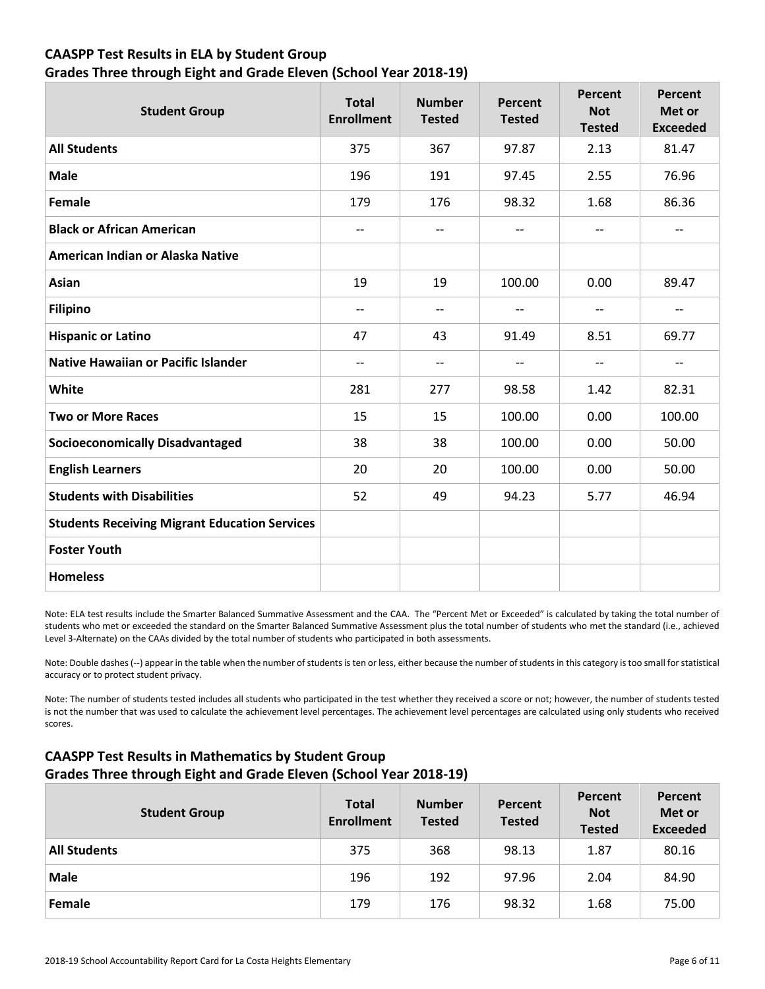### **CAASPP Test Results in ELA by Student Group Grades Three through Eight and Grade Eleven (School Year 2018-19)**

| <b>Student Group</b>                                 | <b>Total</b><br><b>Enrollment</b> | <b>Number</b><br><b>Tested</b> | Percent<br><b>Tested</b> | <b>Percent</b><br><b>Not</b><br><b>Tested</b> | Percent<br>Met or<br><b>Exceeded</b> |
|------------------------------------------------------|-----------------------------------|--------------------------------|--------------------------|-----------------------------------------------|--------------------------------------|
| <b>All Students</b>                                  | 375                               | 367                            | 97.87                    | 2.13                                          | 81.47                                |
| <b>Male</b>                                          | 196                               | 191                            | 97.45                    | 2.55                                          | 76.96                                |
| Female                                               | 179                               | 176                            | 98.32                    | 1.68                                          | 86.36                                |
| <b>Black or African American</b>                     | $\overline{\phantom{a}}$          | $-$                            | $\overline{\phantom{a}}$ | $\overline{\phantom{a}}$                      | --                                   |
| American Indian or Alaska Native                     |                                   |                                |                          |                                               |                                      |
| <b>Asian</b>                                         | 19                                | 19                             | 100.00                   | 0.00                                          | 89.47                                |
| <b>Filipino</b>                                      | $\overline{\phantom{a}}$          | $-$                            | $\overline{\phantom{a}}$ | $\overline{\phantom{a}}$                      | $\overline{\phantom{a}}$             |
| <b>Hispanic or Latino</b>                            | 47                                | 43                             | 91.49                    | 8.51                                          | 69.77                                |
| <b>Native Hawaiian or Pacific Islander</b>           | $\overline{\phantom{a}}$          | $\overline{\phantom{a}}$       | $\overline{\phantom{a}}$ | $\overline{\phantom{a}}$                      | $- -$                                |
| White                                                | 281                               | 277                            | 98.58                    | 1.42                                          | 82.31                                |
| <b>Two or More Races</b>                             | 15                                | 15                             | 100.00                   | 0.00                                          | 100.00                               |
| <b>Socioeconomically Disadvantaged</b>               | 38                                | 38                             | 100.00                   | 0.00                                          | 50.00                                |
| <b>English Learners</b>                              | 20                                | 20                             | 100.00                   | 0.00                                          | 50.00                                |
| <b>Students with Disabilities</b>                    | 52                                | 49                             | 94.23                    | 5.77                                          | 46.94                                |
| <b>Students Receiving Migrant Education Services</b> |                                   |                                |                          |                                               |                                      |
| <b>Foster Youth</b>                                  |                                   |                                |                          |                                               |                                      |
| <b>Homeless</b>                                      |                                   |                                |                          |                                               |                                      |

Note: ELA test results include the Smarter Balanced Summative Assessment and the CAA. The "Percent Met or Exceeded" is calculated by taking the total number of students who met or exceeded the standard on the Smarter Balanced Summative Assessment plus the total number of students who met the standard (i.e., achieved Level 3-Alternate) on the CAAs divided by the total number of students who participated in both assessments.

Note: Double dashes (--) appear in the table when the number of students is ten or less, either because the number of students in this category is too small for statistical accuracy or to protect student privacy.

Note: The number of students tested includes all students who participated in the test whether they received a score or not; however, the number of students tested is not the number that was used to calculate the achievement level percentages. The achievement level percentages are calculated using only students who received scores.

### **CAASPP Test Results in Mathematics by Student Group Grades Three through Eight and Grade Eleven (School Year 2018-19)**

| <b>Student Group</b> | <b>Total</b><br><b>Enrollment</b> | <b>Number</b><br><b>Tested</b> | Percent<br><b>Tested</b> | Percent<br><b>Not</b><br><b>Tested</b> | Percent<br>Met or<br><b>Exceeded</b> |
|----------------------|-----------------------------------|--------------------------------|--------------------------|----------------------------------------|--------------------------------------|
| <b>All Students</b>  | 375                               | 368                            | 98.13                    | 1.87                                   | 80.16                                |
| <b>Male</b>          | 196                               | 192                            | 97.96                    | 2.04                                   | 84.90                                |
| Female               | 179                               | 176                            | 98.32                    | 1.68                                   | 75.00                                |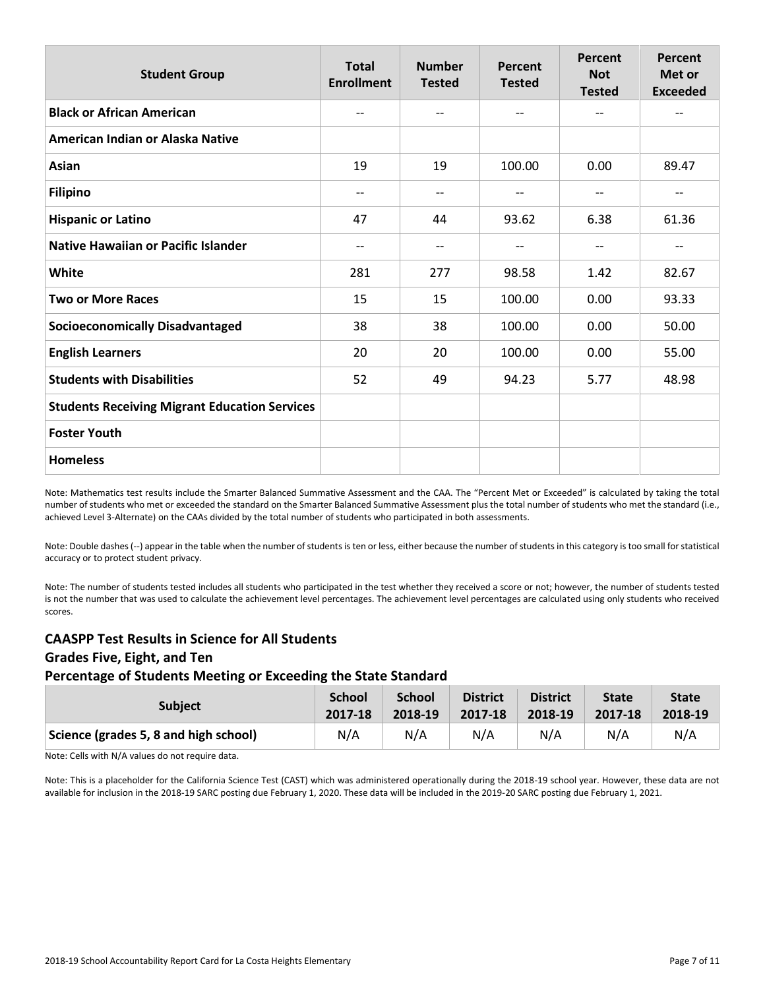| <b>Student Group</b>                                 | <b>Total</b><br><b>Enrollment</b> | <b>Number</b><br><b>Tested</b> | Percent<br><b>Tested</b> | Percent<br><b>Not</b><br><b>Tested</b> | Percent<br>Met or<br><b>Exceeded</b> |
|------------------------------------------------------|-----------------------------------|--------------------------------|--------------------------|----------------------------------------|--------------------------------------|
| <b>Black or African American</b>                     | $-$                               | --                             | $-$                      | $-$                                    | $-$                                  |
| American Indian or Alaska Native                     |                                   |                                |                          |                                        |                                      |
| Asian                                                | 19                                | 19                             | 100.00                   | 0.00                                   | 89.47                                |
| <b>Filipino</b>                                      | $-$                               | --                             | $\overline{\phantom{a}}$ | $-$                                    | $-$                                  |
| <b>Hispanic or Latino</b>                            | 47                                | 44                             | 93.62                    | 6.38                                   | 61.36                                |
| <b>Native Hawaiian or Pacific Islander</b>           | --                                | --                             | $\qquad \qquad -$        | $-$                                    | --                                   |
| White                                                | 281                               | 277                            | 98.58                    | 1.42                                   | 82.67                                |
| <b>Two or More Races</b>                             | 15                                | 15                             | 100.00                   | 0.00                                   | 93.33                                |
| <b>Socioeconomically Disadvantaged</b>               | 38                                | 38                             | 100.00                   | 0.00                                   | 50.00                                |
| <b>English Learners</b>                              | 20                                | 20                             | 100.00                   | 0.00                                   | 55.00                                |
| <b>Students with Disabilities</b>                    | 52                                | 49                             | 94.23                    | 5.77                                   | 48.98                                |
| <b>Students Receiving Migrant Education Services</b> |                                   |                                |                          |                                        |                                      |
| <b>Foster Youth</b>                                  |                                   |                                |                          |                                        |                                      |
| <b>Homeless</b>                                      |                                   |                                |                          |                                        |                                      |

Note: Mathematics test results include the Smarter Balanced Summative Assessment and the CAA. The "Percent Met or Exceeded" is calculated by taking the total number of students who met or exceeded the standard on the Smarter Balanced Summative Assessment plus the total number of students who met the standard (i.e., achieved Level 3-Alternate) on the CAAs divided by the total number of students who participated in both assessments.

Note: Double dashes (--) appear in the table when the number of students is ten or less, either because the number of students in this category is too small for statistical accuracy or to protect student privacy.

Note: The number of students tested includes all students who participated in the test whether they received a score or not; however, the number of students tested is not the number that was used to calculate the achievement level percentages. The achievement level percentages are calculated using only students who received scores.

### **CAASPP Test Results in Science for All Students Grades Five, Eight, and Ten Percentage of Students Meeting or Exceeding the State Standard**

| <b>Subject</b>                        | <b>School</b> | <b>School</b> | <b>District</b> | <b>District</b> | <b>State</b> | <b>State</b> |
|---------------------------------------|---------------|---------------|-----------------|-----------------|--------------|--------------|
|                                       | 2017-18       | 2018-19       | 2017-18         | 2018-19         | 2017-18      | 2018-19      |
| Science (grades 5, 8 and high school) | N/A           | N/A           | N/A             | N/A             | N/A          | N/A          |

Note: Cells with N/A values do not require data.

Note: This is a placeholder for the California Science Test (CAST) which was administered operationally during the 2018-19 school year. However, these data are not available for inclusion in the 2018-19 SARC posting due February 1, 2020. These data will be included in the 2019-20 SARC posting due February 1, 2021.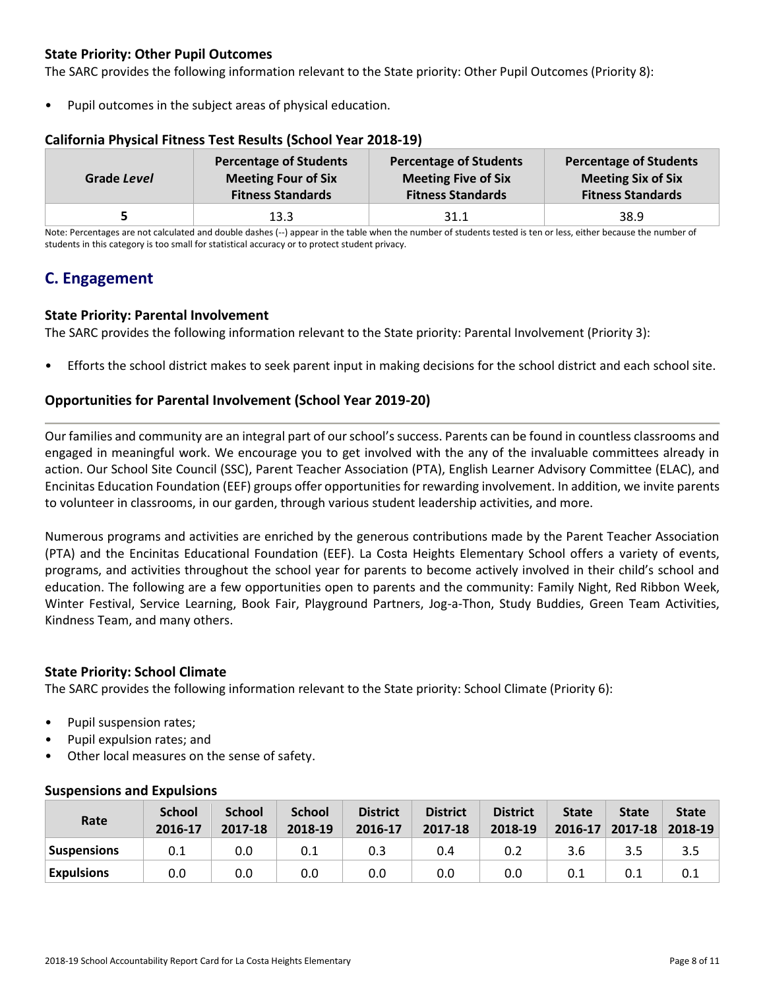### **State Priority: Other Pupil Outcomes**

The SARC provides the following information relevant to the State priority: Other Pupil Outcomes (Priority 8):

Pupil outcomes in the subject areas of physical education.

| Grade Level | <b>Percentage of Students</b> | <b>Percentage of Students</b> | <b>Percentage of Students</b> |
|-------------|-------------------------------|-------------------------------|-------------------------------|
|             | <b>Meeting Four of Six</b>    | <b>Meeting Five of Six</b>    | <b>Meeting Six of Six</b>     |
|             | <b>Fitness Standards</b>      | <b>Fitness Standards</b>      | <b>Fitness Standards</b>      |
|             | 13.3                          | 31.1                          | 38.9                          |

### **California Physical Fitness Test Results (School Year 2018-19)**

Note: Percentages are not calculated and double dashes (--) appear in the table when the number of students tested is ten or less, either because the number of students in this category is too small for statistical accuracy or to protect student privacy.

# **C. Engagement**

### **State Priority: Parental Involvement**

The SARC provides the following information relevant to the State priority: Parental Involvement (Priority 3):

• Efforts the school district makes to seek parent input in making decisions for the school district and each school site.

### **Opportunities for Parental Involvement (School Year 2019-20)**

Our families and community are an integral part of our school's success. Parents can be found in countless classrooms and engaged in meaningful work. We encourage you to get involved with the any of the invaluable committees already in action. Our School Site Council (SSC), Parent Teacher Association (PTA), English Learner Advisory Committee (ELAC), and Encinitas Education Foundation (EEF) groups offer opportunities for rewarding involvement. In addition, we invite parents to volunteer in classrooms, in our garden, through various student leadership activities, and more.

Numerous programs and activities are enriched by the generous contributions made by the Parent Teacher Association (PTA) and the Encinitas Educational Foundation (EEF). La Costa Heights Elementary School offers a variety of events, programs, and activities throughout the school year for parents to become actively involved in their child's school and education. The following are a few opportunities open to parents and the community: Family Night, Red Ribbon Week, Winter Festival, Service Learning, Book Fair, Playground Partners, Jog-a-Thon, Study Buddies, Green Team Activities, Kindness Team, and many others.

### **State Priority: School Climate**

The SARC provides the following information relevant to the State priority: School Climate (Priority 6):

- Pupil suspension rates;
- Pupil expulsion rates; and
- Other local measures on the sense of safety.

| Rate               | <b>School</b><br>2016-17 | <b>School</b><br>2017-18 | <b>School</b><br>2018-19 | <b>District</b><br>2016-17 | <b>District</b><br>2017-18 | <b>District</b><br>2018-19 | <b>State</b><br>$2016 - 17$ | <b>State</b><br>$2017 - 18$ | <b>State</b><br>2018-19 |
|--------------------|--------------------------|--------------------------|--------------------------|----------------------------|----------------------------|----------------------------|-----------------------------|-----------------------------|-------------------------|
| <b>Suspensions</b> | 0.1                      | 0.0                      | 0.1                      | 0.3                        | 0.4                        | 0.2                        | 3.6                         |                             | 3.5                     |
| <b>Expulsions</b>  | 0.0                      | 0.0                      | 0.0                      | 0.0                        | 0.0                        | 0.0                        | 0.1                         | 0.1                         | 0.1                     |

### **Suspensions and Expulsions**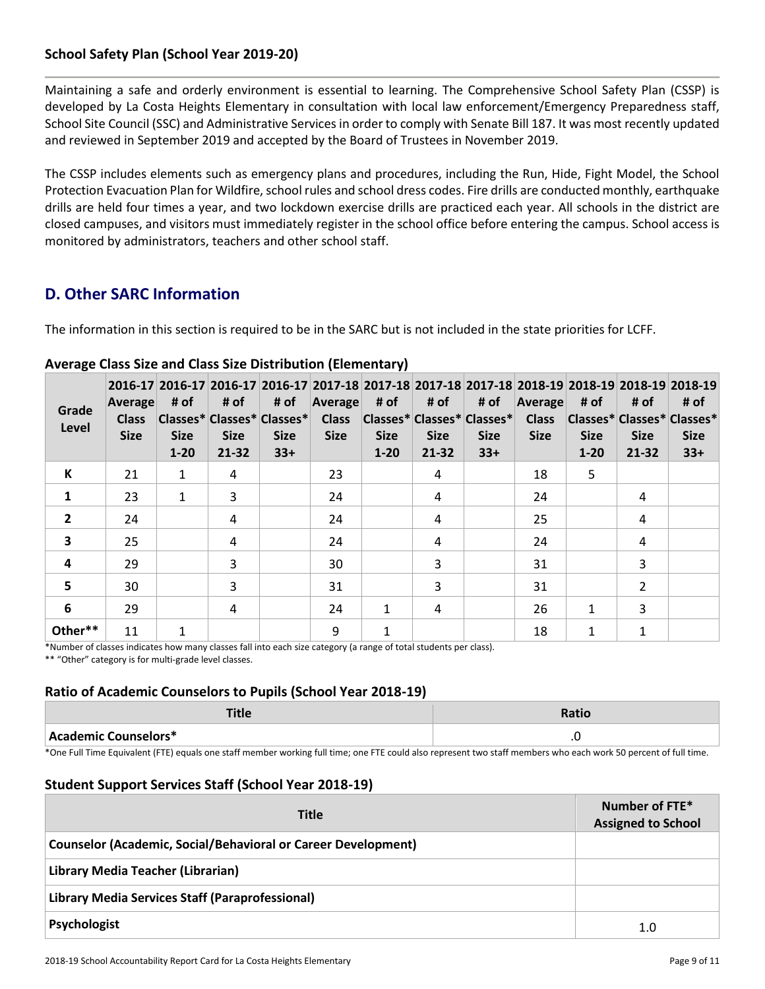### **School Safety Plan (School Year 2019-20)**

Maintaining a safe and orderly environment is essential to learning. The Comprehensive School Safety Plan (CSSP) is developed by La Costa Heights Elementary in consultation with local law enforcement/Emergency Preparedness staff, School Site Council (SSC) and Administrative Services in order to comply with Senate Bill 187. It was most recently updated and reviewed in September 2019 and accepted by the Board of Trustees in November 2019.

The CSSP includes elements such as emergency plans and procedures, including the Run, Hide, Fight Model, the School Protection Evacuation Plan for Wildfire, school rules and school dress codes. Fire drills are conducted monthly, earthquake drills are held four times a year, and two lockdown exercise drills are practiced each year. All schools in the district are closed campuses, and visitors must immediately register in the school office before entering the campus. School access is monitored by administrators, teachers and other school staff.

# **D. Other SARC Information**

The information in this section is required to be in the SARC but is not included in the state priorities for LCFF.

| Grade<br>Level          | Average<br><b>Class</b><br><b>Size</b> | # of<br><b>Size</b><br>$1 - 20$ | # of<br><b>Size</b><br>$21 - 32$ | # of<br> Classes* Classes* Classes* <br><b>Size</b><br>$33+$ | 2016-17 2016-17 2016-17 2016-17 2017-18 2017-18 2017-18 2017-18 2017-18 2018-19 2018-19 2018-19 2018-19<br><b>Average</b><br><b>Class</b><br><b>Size</b> | # of<br><b>Size</b><br>$1 - 20$ | # of<br><b>Size</b><br>$21 - 32$ | # of<br> Classes* Classes* Classes* <br><b>Size</b><br>$33+$ | Average<br><b>Class</b><br><b>Size</b> | # of<br>Classes* Classes* Classes*<br><b>Size</b><br>$1 - 20$ | # of<br><b>Size</b><br>21-32 | # of<br><b>Size</b><br>$33+$ |
|-------------------------|----------------------------------------|---------------------------------|----------------------------------|--------------------------------------------------------------|----------------------------------------------------------------------------------------------------------------------------------------------------------|---------------------------------|----------------------------------|--------------------------------------------------------------|----------------------------------------|---------------------------------------------------------------|------------------------------|------------------------------|
| К                       | 21                                     | $\mathbf{1}$                    | 4                                |                                                              | 23                                                                                                                                                       |                                 | 4                                |                                                              | 18                                     | 5                                                             |                              |                              |
| $\mathbf{1}$            | 23                                     | 1                               | 3                                |                                                              | 24                                                                                                                                                       |                                 | 4                                |                                                              | 24                                     |                                                               | 4                            |                              |
| $\overline{2}$          | 24                                     |                                 | 4                                |                                                              | 24                                                                                                                                                       |                                 | 4                                |                                                              | 25                                     |                                                               | 4                            |                              |
| $\overline{\mathbf{3}}$ | 25                                     |                                 | 4                                |                                                              | 24                                                                                                                                                       |                                 | 4                                |                                                              | 24                                     |                                                               | 4                            |                              |
| 4                       | 29                                     |                                 | 3                                |                                                              | 30                                                                                                                                                       |                                 | 3                                |                                                              | 31                                     |                                                               | 3                            |                              |
| 5                       | 30                                     |                                 | 3                                |                                                              | 31                                                                                                                                                       |                                 | 3                                |                                                              | 31                                     |                                                               | 2                            |                              |
| 6                       | 29                                     |                                 | 4                                |                                                              | 24                                                                                                                                                       | 1                               | 4                                |                                                              | 26                                     | $\mathbf{1}$                                                  | 3                            |                              |
| Other**                 | 11                                     | 1                               |                                  |                                                              | 9                                                                                                                                                        | 1                               |                                  |                                                              | 18                                     | 1                                                             | 1                            |                              |

### **Average Class Size and Class Size Distribution (Elementary)**

\*Number of classes indicates how many classes fall into each size category (a range of total students per class). \*\* "Other" category is for multi-grade level classes.

### **Ratio of Academic Counselors to Pupils (School Year 2018-19)**

| 14C                  | Doti/ |
|----------------------|-------|
| Academic Counselors* | . .   |

\*One Full Time Equivalent (FTE) equals one staff member working full time; one FTE could also represent two staff members who each work 50 percent of full time.

### **Student Support Services Staff (School Year 2018-19)**

| <b>Title</b>                                                         | Number of FTE*<br><b>Assigned to School</b> |
|----------------------------------------------------------------------|---------------------------------------------|
| <b>Counselor (Academic, Social/Behavioral or Career Development)</b> |                                             |
| Library Media Teacher (Librarian)                                    |                                             |
| Library Media Services Staff (Paraprofessional)                      |                                             |
| Psychologist                                                         | 1.0                                         |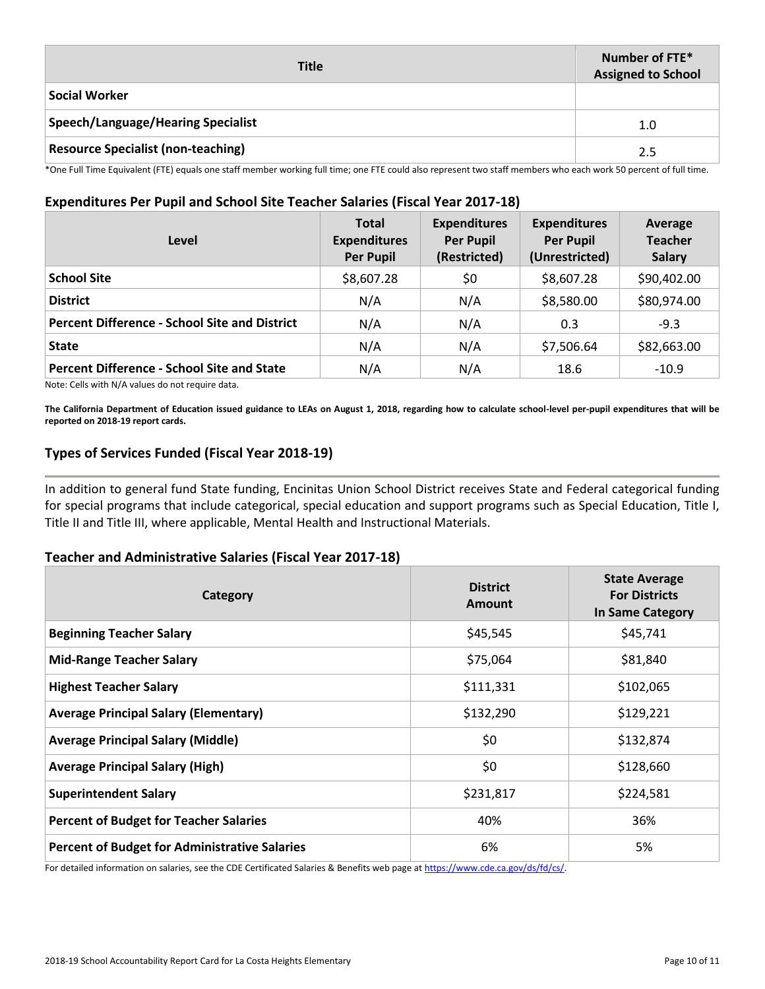| <b>Title</b>                              | Number of FTE*<br><b>Assigned to School</b> |
|-------------------------------------------|---------------------------------------------|
| <b>Social Worker</b>                      |                                             |
| Speech/Language/Hearing Specialist        | 1.0                                         |
| <b>Resource Specialist (non-teaching)</b> | 2.5                                         |

\*One Full Time Equivalent (FTE) equals one staff member working full time; one FTE could also represent two staff members who each work 50 percent of full time.

### **Expenditures Per Pupil and School Site Teacher Salaries (Fiscal Year 2017-18)**

| Level                                                | <b>Total</b><br><b>Expenditures</b><br><b>Per Pupil</b> | <b>Expenditures</b><br><b>Per Pupil</b><br>(Restricted) | <b>Expenditures</b><br><b>Per Pupil</b><br>(Unrestricted) | Average<br><b>Teacher</b><br><b>Salary</b> |
|------------------------------------------------------|---------------------------------------------------------|---------------------------------------------------------|-----------------------------------------------------------|--------------------------------------------|
| <b>School Site</b>                                   | \$8,607.28                                              | \$0                                                     | \$8,607.28                                                | \$90,402.00                                |
| <b>District</b>                                      | N/A                                                     | N/A                                                     | \$8,580.00                                                | \$80,974.00                                |
| <b>Percent Difference - School Site and District</b> | N/A                                                     | N/A                                                     | 0.3                                                       | $-9.3$                                     |
| <b>State</b>                                         | N/A                                                     | N/A                                                     | \$7,506.64                                                | \$82,663.00                                |
| <b>Percent Difference - School Site and State</b>    | N/A                                                     | N/A                                                     | 18.6                                                      | $-10.9$                                    |

Note: Cells with N/A values do not require data.

**The California Department of Education issued guidance to LEAs on August 1, 2018, regarding how to calculate school-level per-pupil expenditures that will be reported on 2018-19 report cards.**

### **Types of Services Funded (Fiscal Year 2018-19)**

In addition to general fund State funding, Encinitas Union School District receives State and Federal categorical funding for special programs that include categorical, special education and support programs such as Special Education, Title I, Title II and Title III, where applicable, Mental Health and Instructional Materials.

### **Teacher and Administrative Salaries (Fiscal Year 2017-18)**

| Category                                             | <b>District</b><br>Amount | <b>State Average</b><br><b>For Districts</b><br>In Same Category |
|------------------------------------------------------|---------------------------|------------------------------------------------------------------|
| <b>Beginning Teacher Salary</b>                      | \$45,545                  | \$45,741                                                         |
| <b>Mid-Range Teacher Salary</b>                      | \$75,064                  | \$81,840                                                         |
| <b>Highest Teacher Salary</b>                        | \$111,331                 | \$102,065                                                        |
| <b>Average Principal Salary (Elementary)</b>         | \$132,290                 | \$129,221                                                        |
| <b>Average Principal Salary (Middle)</b>             | \$0                       | \$132,874                                                        |
| <b>Average Principal Salary (High)</b>               | \$0                       | \$128,660                                                        |
| <b>Superintendent Salary</b>                         | \$231,817                 | \$224,581                                                        |
| <b>Percent of Budget for Teacher Salaries</b>        | 40%                       | 36%                                                              |
| <b>Percent of Budget for Administrative Salaries</b> | 6%                        | 5%                                                               |

For detailed information on salaries, see the CDE Certificated Salaries & Benefits web page at https://www.cde.ca.gov/ds/fd/cs/.